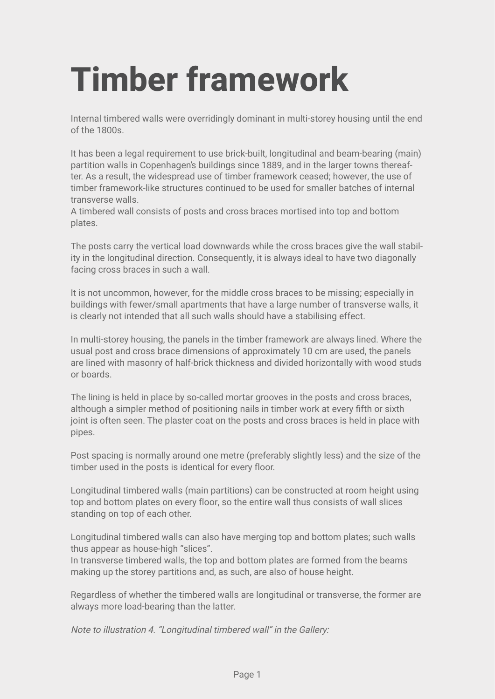## **Timber framework**

Internal timbered walls were overridingly dominant in multi-storey housing until the end of the 1800s.

It has been a legal requirement to use brick-built, longitudinal and beam-bearing (main) partition walls in Copenhagen's buildings since 1889, and in the larger towns thereafter. As a result, the widespread use of timber framework ceased; however, the use of timber framework-like structures continued to be used for smaller batches of internal transverse walls.

A timbered wall consists of posts and cross braces mortised into top and bottom plates.

The posts carry the vertical load downwards while the cross braces give the wall stability in the longitudinal direction. Consequently, it is always ideal to have two diagonally facing cross braces in such a wall.

It is not uncommon, however, for the middle cross braces to be missing; especially in buildings with fewer/small apartments that have a large number of transverse walls, it is clearly not intended that all such walls should have a stabilising effect.

In multi-storey housing, the panels in the timber framework are always lined. Where the usual post and cross brace dimensions of approximately 10 cm are used, the panels are lined with masonry of half-brick thickness and divided horizontally with wood studs or boards.

The lining is held in place by so-called mortar grooves in the posts and cross braces, although a simpler method of positioning nails in timber work at every fifth or sixth joint is often seen. The plaster coat on the posts and cross braces is held in place with pipes.

Post spacing is normally around one metre (preferably slightly less) and the size of the timber used in the posts is identical for every floor.

Longitudinal timbered walls (main partitions) can be constructed at room height using top and bottom plates on every floor, so the entire wall thus consists of wall slices standing on top of each other.

Longitudinal timbered walls can also have merging top and bottom plates; such walls thus appear as house-high "slices".

In transverse timbered walls, the top and bottom plates are formed from the beams making up the storey partitions and, as such, are also of house height.

Regardless of whether the timbered walls are longitudinal or transverse, the former are always more load-bearing than the latter.

Note to illustration 4. "Longitudinal timbered wall" in the Gallery: